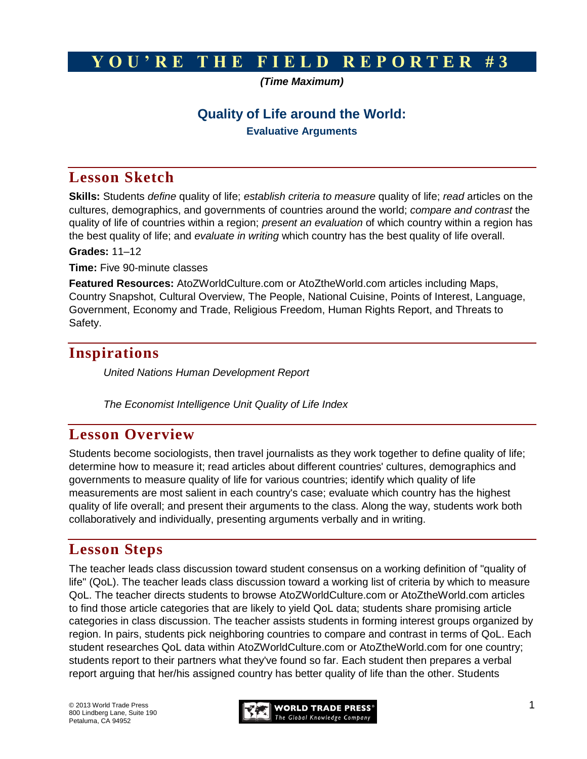# **Y O U ' R E T H E F I E L D R E P O R T E R # 3**

*(Time Maximum)*

## **Quality of Life around the World:**

**Evaluative Arguments**

# **Lesson Sketch**

**Skills:** Students *define* quality of life; *establish criteria to measure* quality of life; *read* articles on the cultures, demographics, and governments of countries around the world; *compare and contrast* the quality of life of countries within a region; *present an evaluation* of which country within a region has the best quality of life; and *evaluate in writing* which country has the best quality of life overall.

**Grades:** 11–12

**Time:** Five 90-minute classes

**Featured Resources:** AtoZWorldCulture.com or AtoZtheWorld.com articles including Maps, Country Snapshot, Cultural Overview, The People, National Cuisine, Points of Interest, Language, Government, Economy and Trade, Religious Freedom, Human Rights Report, and Threats to Safety.

# **Inspirations**

*United Nations [Human Development Report](http://hdr.undp.org/en/statistics/)*

*The Economist Intelligence Unit [Quality of Life Index](http://www.economist.com/media/pdf/QUALITY_OF_LIFE.pdf)*

## **Lesson Overview**

Students become sociologists, then travel journalists as they work together to define quality of life; determine how to measure it; read articles about different countries' cultures, demographics and governments to measure quality of life for various countries; identify which quality of life measurements are most salient in each country's case; evaluate which country has the highest quality of life overall; and present their arguments to the class. Along the way, students work both collaboratively and individually, presenting arguments verbally and in writing.

# **Lesson Steps**

The teacher leads class discussion toward student consensus on a working definition of "quality of life" (QoL). The teacher leads class discussion toward a working list of criteria by which to measure QoL. The teacher directs students to browse AtoZWorldCulture.com or AtoZtheWorld.com articles to find those article categories that are likely to yield QoL data; students share promising article categories in class discussion. The teacher assists students in forming interest groups organized by region. In pairs, students pick neighboring countries to compare and contrast in terms of QoL. Each student researches QoL data within AtoZWorldCulture.com or AtoZtheWorld.com for one country; students report to their partners what they've found so far. Each student then prepares a verbal report arguing that her/his assigned country has better quality of life than the other. Students

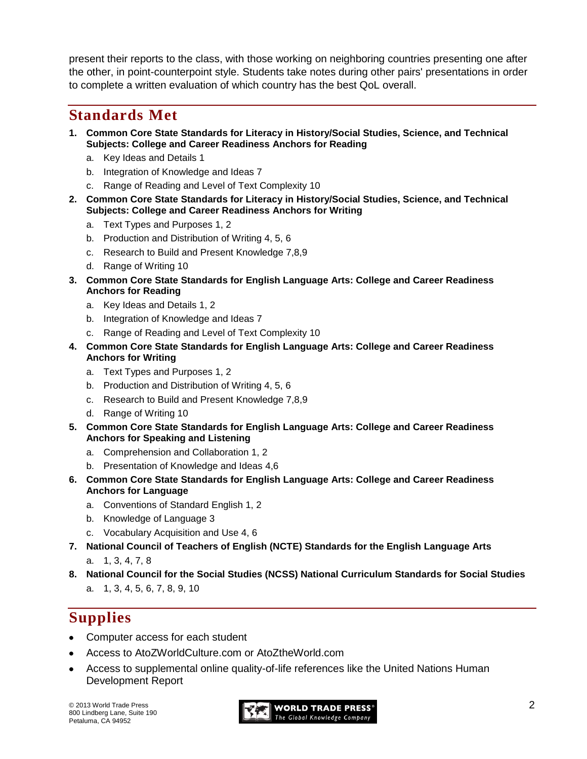present their reports to the class, with those working on neighboring countries presenting one after the other, in point-counterpoint style. Students take notes during other pairs' presentations in order to complete a written evaluation of which country has the best QoL overall.

# **Standards Met**

- **1. Common Core State Standards for Literacy in History/Social Studies, Science, and Technical Subjects: College and Career Readiness Anchors for Reading**
	- a. Key Ideas and Details 1
	- b. Integration of Knowledge and Ideas 7
	- c. Range of Reading and Level of Text Complexity 10
- **2. Common Core State Standards for Literacy in History/Social Studies, Science, and Technical Subjects: College and Career Readiness Anchors for Writing**
	- a. Text Types and Purposes 1, 2
	- b. Production and Distribution of Writing 4, 5, 6
	- c. Research to Build and Present Knowledge 7,8,9
	- d. Range of Writing 10
- **3. Common Core State Standards for English Language Arts: College and Career Readiness Anchors for Reading**
	- a. Key Ideas and Details 1, 2
	- b. Integration of Knowledge and Ideas 7
	- c. Range of Reading and Level of Text Complexity 10
- **4. Common Core State Standards for English Language Arts: College and Career Readiness Anchors for Writing**
	- a. Text Types and Purposes 1, 2
	- b. Production and Distribution of Writing 4, 5, 6
	- c. Research to Build and Present Knowledge 7,8,9
	- d. Range of Writing 10
- **5. Common Core State Standards for English Language Arts: College and Career Readiness Anchors for Speaking and Listening**
	- a. Comprehension and Collaboration 1, 2
	- b. Presentation of Knowledge and Ideas 4,6
- **6. Common Core State Standards for English Language Arts: College and Career Readiness Anchors for Language**
	- a. Conventions of Standard English 1, 2
	- b. Knowledge of Language 3
	- c. Vocabulary Acquisition and Use 4, 6
- **7. National Council of Teachers of English (NCTE) Standards for the English Language Arts** 
	- a. 1, 3, 4, 7, 8
- **8. National Council for the Social Studies (NCSS) National Curriculum Standards for Social Studies**  a. 1, 3, 4, 5, 6, 7, 8, 9, 10

# **Supplies**

- Computer access for each student
- Access to AtoZWorldCulture.com or AtoZtheWorld.com
- Access to supplemental online quality-of-life references like the United Nations Human Development Report

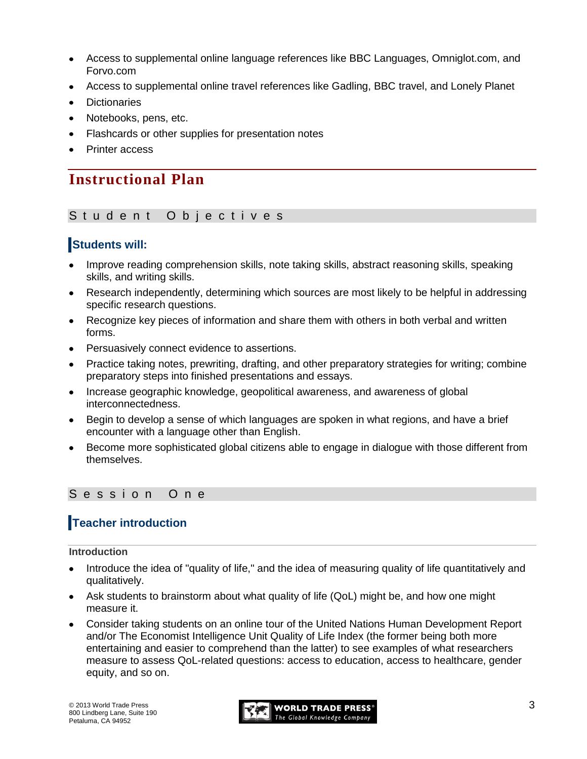- Access to supplemental online language references like BBC Languages, Omniglot.com, and  $\bullet$ Forvo.com
- Access to supplemental online travel references like Gadling, BBC travel, and Lonely Planet
- **Dictionaries**
- Notebooks, pens, etc.
- Flashcards or other supplies for presentation notes
- Printer access

# **Instructional Plan**

### Student Objectives

### **Students will:**

- Improve reading comprehension skills, note taking skills, abstract reasoning skills, speaking skills, and writing skills.
- Research independently, determining which sources are most likely to be helpful in addressing specific research questions.
- Recognize key pieces of information and share them with others in both verbal and written forms.
- Persuasively connect evidence to assertions.
- Practice taking notes, prewriting, drafting, and other preparatory strategies for writing; combine preparatory steps into finished presentations and essays.
- Increase geographic knowledge, geopolitical awareness, and awareness of global interconnectedness.
- Begin to develop a sense of which languages are spoken in what regions, and have a brief encounter with a language other than English.
- Become more sophisticated global citizens able to engage in dialogue with those different from themselves.

### Session One

## **Teacher introduction**

#### **Introduction**

- Introduce the idea of "quality of life," and the idea of measuring quality of life quantitatively and qualitatively.
- Ask students to brainstorm about what quality of life (QoL) might be, and how one might measure it.
- Consider taking students on an online tour of the United Nations Human Development Report and/or The Economist Intelligence Unit Quality of Life Index (the former being both more entertaining and easier to comprehend than the latter) to see examples of what researchers measure to assess QoL-related questions: access to education, access to healthcare, gender equity, and so on.

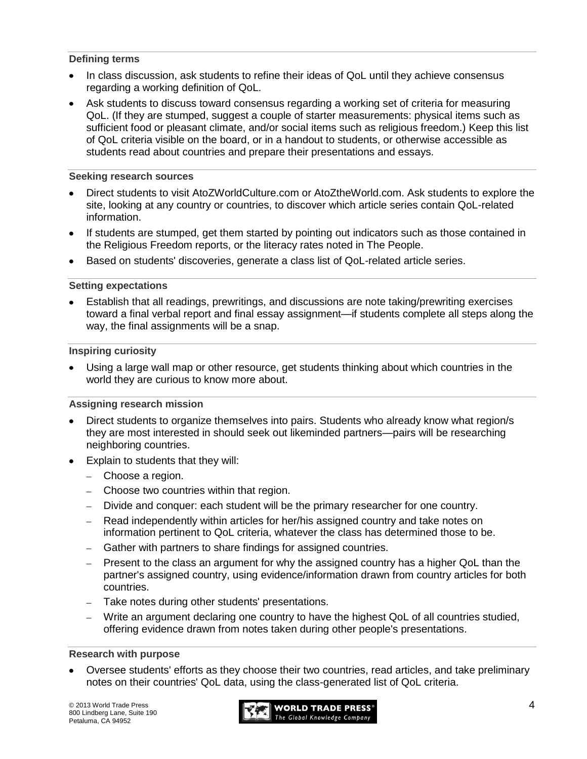#### **Defining terms**

- In class discussion, ask students to refine their ideas of QoL until they achieve consensus regarding a working definition of QoL.
- Ask students to discuss toward consensus regarding a working set of criteria for measuring QoL. (If they are stumped, suggest a couple of starter measurements: physical items such as sufficient food or pleasant climate, and/or social items such as religious freedom.) Keep this list of QoL criteria visible on the board, or in a handout to students, or otherwise accessible as students read about countries and prepare their presentations and essays.

### **Seeking research sources**

- Direct students to visit AtoZWorldCulture.com or AtoZtheWorld.com. Ask students to explore the site, looking at any country or countries, to discover which article series contain QoL-related information.
- If students are stumped, get them started by pointing out indicators such as those contained in the Religious Freedom reports, or the literacy rates noted in The People.
- Based on students' discoveries, generate a class list of QoL-related article series.

### **Setting expectations**

Establish that all readings, prewritings, and discussions are note taking/prewriting exercises toward a final verbal report and final essay assignment—if students complete all steps along the way, the final assignments will be a snap.

### **Inspiring curiosity**

Using a large wall map or other resource, get students thinking about which countries in the world they are curious to know more about.

### **Assigning research mission**

- Direct students to organize themselves into pairs. Students who already know what region/s they are most interested in should seek out likeminded partners—pairs will be researching neighboring countries.
- Explain to students that they will:
	- Choose a region.
	- Choose two countries within that region.
	- Divide and conquer: each student will be the primary researcher for one country.
	- Read independently within articles for her/his assigned country and take notes on information pertinent to QoL criteria, whatever the class has determined those to be.
	- Gather with partners to share findings for assigned countries.
	- Present to the class an argument for why the assigned country has a higher QoL than the  $\equiv$ partner's assigned country, using evidence/information drawn from country articles for both countries.
	- Take notes during other students' presentations.
	- Write an argument declaring one country to have the highest QoL of all countries studied, offering evidence drawn from notes taken during other people's presentations.

### **Research with purpose**

Oversee students' efforts as they choose their two countries, read articles, and take preliminary notes on their countries' QoL data, using the class-generated list of QoL criteria.

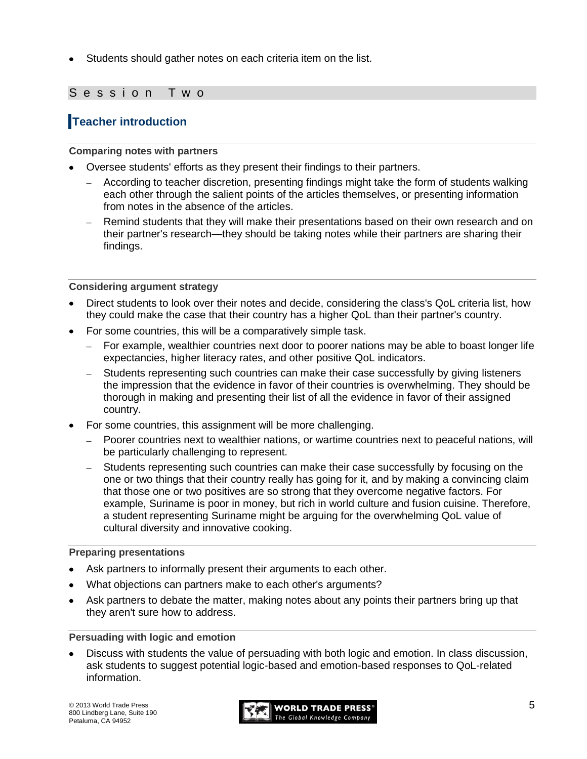Students should gather notes on each criteria item on the list.

### Session Two

## **Teacher introduction**

### **Comparing notes with partners**

- Oversee students' efforts as they present their findings to their partners.
	- According to teacher discretion, presenting findings might take the form of students walking each other through the salient points of the articles themselves, or presenting information from notes in the absence of the articles.
	- Remind students that they will make their presentations based on their own research and on their partner's research—they should be taking notes while their partners are sharing their findings.

### **Considering argument strategy**

- Direct students to look over their notes and decide, considering the class's QoL criteria list, how they could make the case that their country has a higher QoL than their partner's country.
- For some countries, this will be a comparatively simple task.
	- For example, wealthier countries next door to poorer nations may be able to boast longer life  $\mathbf{r}$ expectancies, higher literacy rates, and other positive QoL indicators.
	- Students representing such countries can make their case successfully by giving listeners the impression that the evidence in favor of their countries is overwhelming. They should be thorough in making and presenting their list of all the evidence in favor of their assigned country.
- For some countries, this assignment will be more challenging.
	- Poorer countries next to wealthier nations, or wartime countries next to peaceful nations, will be particularly challenging to represent.
	- Students representing such countries can make their case successfully by focusing on the one or two things that their country really has going for it, and by making a convincing claim that those one or two positives are so strong that they overcome negative factors. For example, Suriname is poor in money, but rich in world culture and fusion cuisine. Therefore, a student representing Suriname might be arguing for the overwhelming QoL value of cultural diversity and innovative cooking.

#### **Preparing presentations**

- Ask partners to informally present their arguments to each other.
- What objections can partners make to each other's arguments?
- Ask partners to debate the matter, making notes about any points their partners bring up that they aren't sure how to address.

#### **Persuading with logic and emotion**

Discuss with students the value of persuading with both logic and emotion. In class discussion, ask students to suggest potential logic-based and emotion-based responses to QoL-related information.

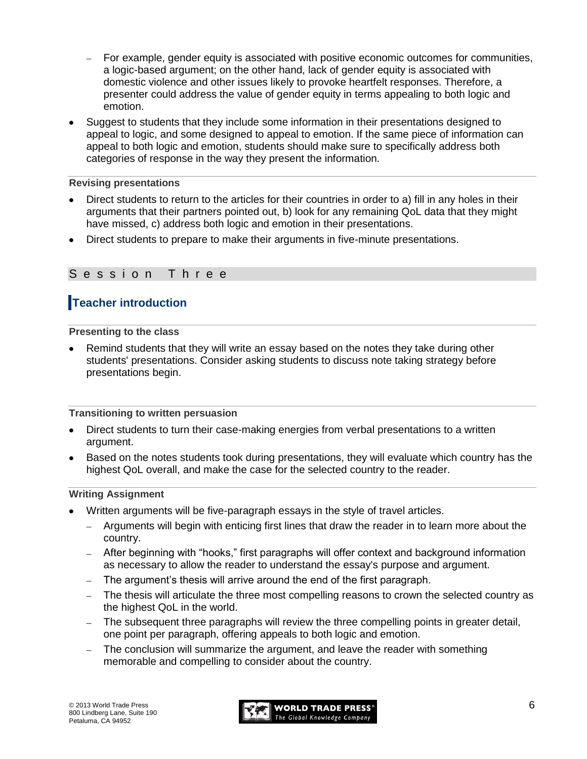- For example, gender equity is associated with positive economic outcomes for communities, a logic-based argument; on the other hand, lack of gender equity is associated with domestic violence and other issues likely to provoke heartfelt responses. Therefore, a presenter could address the value of gender equity in terms appealing to both logic and emotion.
- Suggest to students that they include some information in their presentations designed to appeal to logic, and some designed to appeal to emotion. If the same piece of information can appeal to both logic and emotion, students should make sure to specifically address both categories of response in the way they present the information.

### **Revising presentations**

- Direct students to return to the articles for their countries in order to a) fill in any holes in their arguments that their partners pointed out, b) look for any remaining QoL data that they might have missed, c) address both logic and emotion in their presentations.
- Direct students to prepare to make their arguments in five-minute presentations.

### Session Three

## **Teacher introduction**

**Presenting to the class**

Remind students that they will write an essay based on the notes they take during other students' presentations. Consider asking students to discuss note taking strategy before presentations begin.

### **Transitioning to written persuasion**

- Direct students to turn their case-making energies from verbal presentations to a written argument.
- Based on the notes students took during presentations, they will evaluate which country has the highest QoL overall, and make the case for the selected country to the reader.

#### **Writing Assignment**

- Written arguments will be five-paragraph essays in the style of travel articles.
	- Arguments will begin with enticing first lines that draw the reader in to learn more about the country.
	- After beginning with "hooks," first paragraphs will offer context and background information as necessary to allow the reader to understand the essay's purpose and argument.
	- The argument's thesis will arrive around the end of the first paragraph.
	- The thesis will articulate the three most compelling reasons to crown the selected country as the highest QoL in the world.
	- The subsequent three paragraphs will review the three compelling points in greater detail, one point per paragraph, offering appeals to both logic and emotion.
	- The conclusion will summarize the argument, and leave the reader with something  $\equiv$ memorable and compelling to consider about the country.

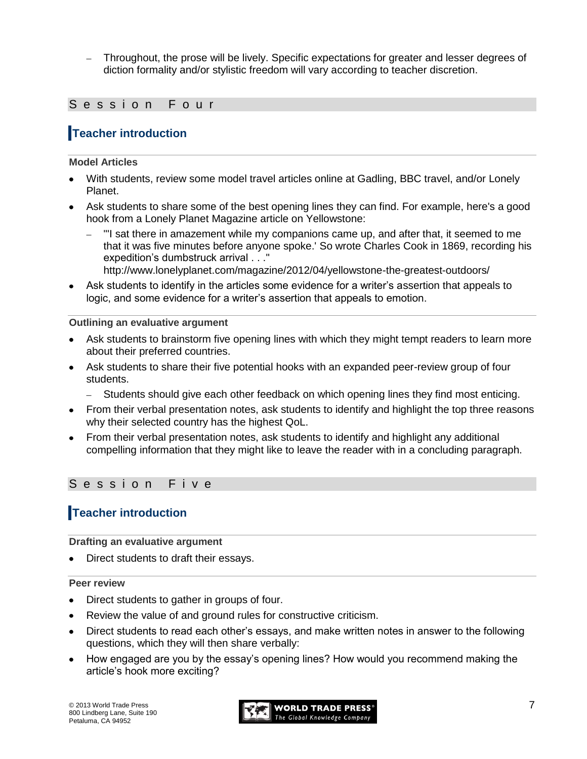Throughout, the prose will be lively. Specific expectations for greater and lesser degrees of diction formality and/or stylistic freedom will vary according to teacher discretion.

### S e s s i o n F o u r

## **Teacher introduction**

### **Model Articles**

- With students, review some model travel articles online at Gadling, BBC travel, and/or Lonely Planet.
- Ask students to share some of the best opening lines they can find. For example, here's a good hook from a Lonely Planet Magazine article on Yellowstone:
	- "'I sat there in amazement while my companions came up, and after that, it seemed to me that it was five minutes before anyone spoke.' So wrote Charles Cook in 1869, recording his expedition's dumbstruck arrival . . ."

<http://www.lonelyplanet.com/magazine/2012/04/yellowstone-the-greatest-outdoors/>

Ask students to identify in the articles some evidence for a writer's assertion that appeals to logic, and some evidence for a writer's assertion that appeals to emotion.

### **Outlining an evaluative argument**

- Ask students to brainstorm five opening lines with which they might tempt readers to learn more about their preferred countries.
- Ask students to share their five potential hooks with an expanded peer-review group of four students.
	- Students should give each other feedback on which opening lines they find most enticing.
- From their verbal presentation notes, ask students to identify and highlight the top three reasons why their selected country has the highest QoL.
- From their verbal presentation notes, ask students to identify and highlight any additional compelling information that they might like to leave the reader with in a concluding paragraph.

### S e s s i o n F i v e

## **Teacher introduction**

**Drafting an evaluative argument**

Direct students to draft their essays.

#### **Peer review**

- Direct students to gather in groups of four.
- Review the value of and ground rules for constructive criticism.
- Direct students to read each other's essays, and make written notes in answer to the following questions, which they will then share verbally:
- How engaged are you by the essay's opening lines? How would you recommend making the article's hook more exciting?